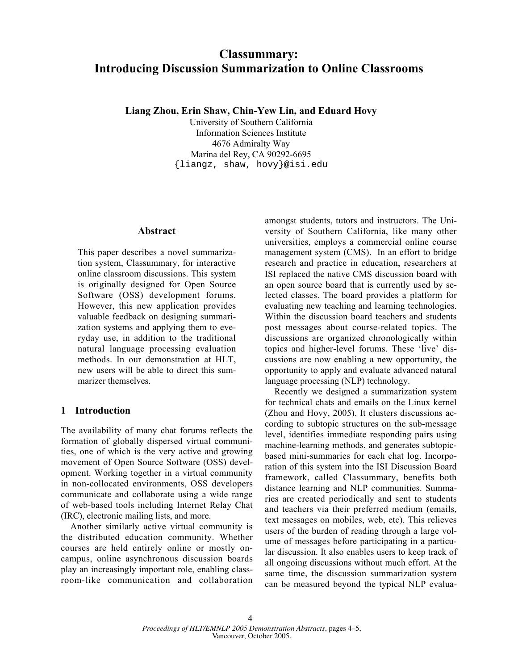# Classummary: Introducing Discussion Summarization to Online Classrooms

Liang Zhou, Erin Shaw, Chin-Yew Lin, and Eduard Hovy

University of Southern California Information Sciences Institute 4676 Admiralty Way Marina del Rey, CA 90292-6695 {liangz, shaw, hovy}@isi.edu

#### Abstract

This paper describes a novel summarization system, Classummary, for interactive online classroom discussions. This system is originally designed for Open Source Software (OSS) development forums. However, this new application provides valuable feedback on designing summarization systems and applying them to everyday use, in addition to the traditional natural language processing evaluation methods. In our demonstration at HLT, new users will be able to direct this summarizer themselves.

## 1 Introduction

The availability of many chat forums reflects the formation of globally dispersed virtual communities, one of which is the very active and growing movement of Open Source Software (OSS) development. Working together in a virtual community in non-collocated environments, OSS developers communicate and collaborate using a wide range of web-based tools including Internet Relay Chat (IRC), electronic mailing lists, and more.

Another similarly active virtual community is the distributed education community. Whether courses are held entirely online or mostly oncampus, online asynchronous discussion boards play an increasingly important role, enabling classroom-like communication and collaboration amongst students, tutors and instructors. The University of Southern California, like many other universities, employs a commercial online course management system (CMS). In an effort to bridge research and practice in education, researchers at ISI replaced the native CMS discussion board with an open source board that is currently used by selected classes. The board provides a platform for evaluating new teaching and learning technologies. Within the discussion board teachers and students post messages about course-related topics. The discussions are organized chronologically within topics and higher-level forums. These 'live' discussions are now enabling a new opportunity, the opportunity to apply and evaluate advanced natural language processing (NLP) technology.

Recently we designed a summarization system for technical chats and emails on the Linux kernel (Zhou and Hovy, 2005). It clusters discussions according to subtopic structures on the sub-message level, identifies immediate responding pairs using machine-learning methods, and generates subtopicbased mini-summaries for each chat log. Incorporation of this system into the ISI Discussion Board framework, called Classummary, benefits both distance learning and NLP communities. Summaries are created periodically and sent to students and teachers via their preferred medium (emails, text messages on mobiles, web, etc). This relieves users of the burden of reading through a large volume of messages before participating in a particular discussion. It also enables users to keep track of all ongoing discussions without much effort. At the same time, the discussion summarization system can be measured beyond the typical NLP evalua